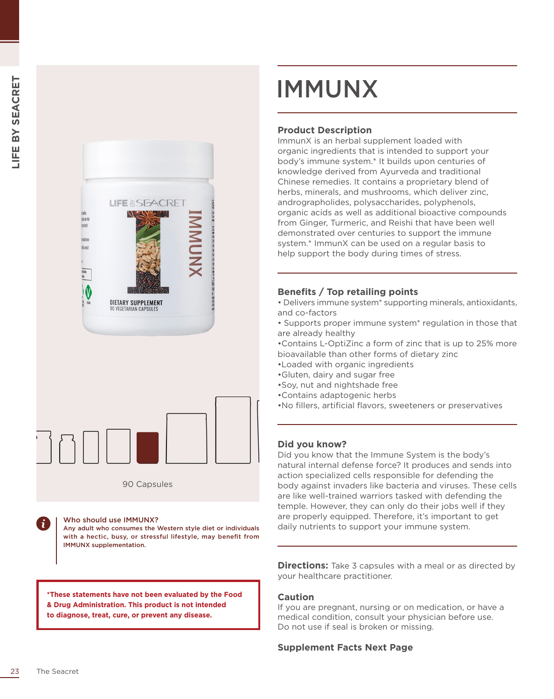



90 Capsules

Who should use IMMUNX?

Any adult who consumes the Western style diet or individuals with a hectic, busy, or stressful lifestyle, may benefit from IMMUNX supplementation.

**\*These statements have not been evaluated by the Food & Drug Administration. This product is not intended to diagnose, treat, cure, or prevent any disease.**

## IMMUNX

### **Product Description**

ImmunX is an herbal supplement loaded with organic ingredients that is intended to support your body's immune system.\* It builds upon centuries of knowledge derived from Ayurveda and traditional Chinese remedies. It contains a proprietary blend of herbs, minerals, and mushrooms, which deliver zinc, andrographolides, polysaccharides, polyphenols, organic acids as well as additional bioactive compounds from Ginger, Turmeric, and Reishi that have been well demonstrated over centuries to support the immune system.\* ImmunX can be used on a regular basis to help support the body during times of stress.

#### **Benefits / Top retailing points**

• Delivers immune system\* supporting minerals, antioxidants, and co-factors

• Supports proper immune system\* regulation in those that are already healthy

•Contains L-OptiZinc a form of zinc that is up to 25% more bioavailable than other forms of dietary zinc

- •Loaded with organic ingredients
- •Gluten, dairy and sugar free
- •Soy, nut and nightshade free
- •Contains adaptogenic herbs
- •No fillers, artificial flavors, sweeteners or preservatives

#### **Did you know?**

Did you know that the Immune System is the body's natural internal defense force? It produces and sends into action specialized cells responsible for defending the body against invaders like bacteria and viruses. These cells are like well-trained warriors tasked with defending the temple. However, they can only do their jobs well if they are properly equipped. Therefore, it's important to get daily nutrients to support your immune system.

**Directions:** Take 3 capsules with a meal or as directed by your healthcare practitioner.

#### **Caution**

If you are pregnant, nursing or on medication, or have a medical condition, consult your physician before use. Do not use if seal is broken or missing.

#### **Supplement Facts Next Page**